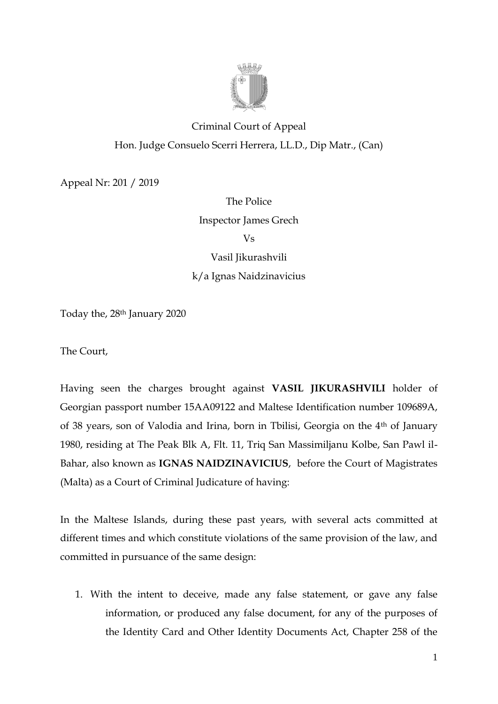

# Criminal Court of Appeal Hon. Judge Consuelo Scerri Herrera, LL.D., Dip Matr., (Can)

Appeal Nr: 201 / 2019

The Police Inspector James Grech Vs Vasil Jikurashvili k/a Ignas Naidzinavicius

Today the, 28th January 2020

The Court,

Having seen the charges brought against **VASIL JIKURASHVILI** holder of Georgian passport number 15AA09122 and Maltese Identification number 109689A, of 38 years, son of Valodia and Irina, born in Tbilisi, Georgia on the 4th of January 1980, residing at The Peak Blk A, Flt. 11, Triq San Massimiljanu Kolbe, San Pawl il-Bahar, also known as **IGNAS NAIDZINAVICIUS**, before the Court of Magistrates (Malta) as a Court of Criminal Judicature of having:

In the Maltese Islands, during these past years, with several acts committed at different times and which constitute violations of the same provision of the law, and committed in pursuance of the same design:

1. With the intent to deceive, made any false statement, or gave any false information, or produced any false document, for any of the purposes of the Identity Card and Other Identity Documents Act, Chapter 258 of the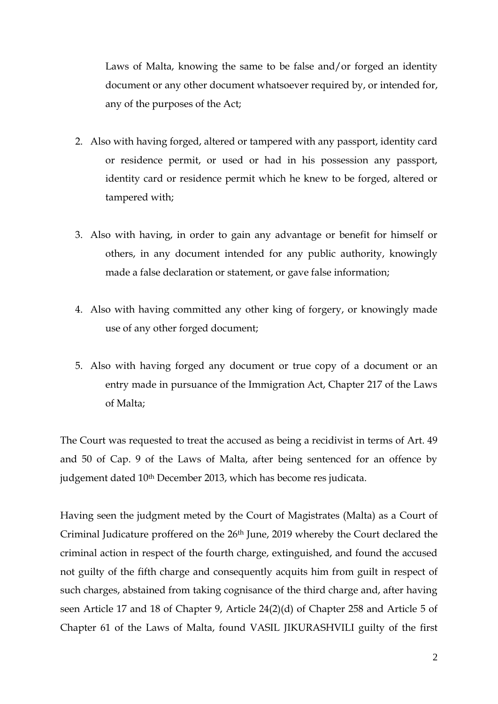Laws of Malta, knowing the same to be false and/or forged an identity document or any other document whatsoever required by, or intended for, any of the purposes of the Act;

- 2. Also with having forged, altered or tampered with any passport, identity card or residence permit, or used or had in his possession any passport, identity card or residence permit which he knew to be forged, altered or tampered with;
- 3. Also with having, in order to gain any advantage or benefit for himself or others, in any document intended for any public authority, knowingly made a false declaration or statement, or gave false information;
- 4. Also with having committed any other king of forgery, or knowingly made use of any other forged document;
- 5. Also with having forged any document or true copy of a document or an entry made in pursuance of the Immigration Act, Chapter 217 of the Laws of Malta;

The Court was requested to treat the accused as being a recidivist in terms of Art. 49 and 50 of Cap. 9 of the Laws of Malta, after being sentenced for an offence by judgement dated 10th December 2013, which has become res judicata.

Having seen the judgment meted by the Court of Magistrates (Malta) as a Court of Criminal Judicature proffered on the 26th June, 2019 whereby the Court declared the criminal action in respect of the fourth charge, extinguished, and found the accused not guilty of the fifth charge and consequently acquits him from guilt in respect of such charges, abstained from taking cognisance of the third charge and, after having seen Article 17 and 18 of Chapter 9, Article 24(2)(d) of Chapter 258 and Article 5 of Chapter 61 of the Laws of Malta, found VASIL JIKURASHVILI guilty of the first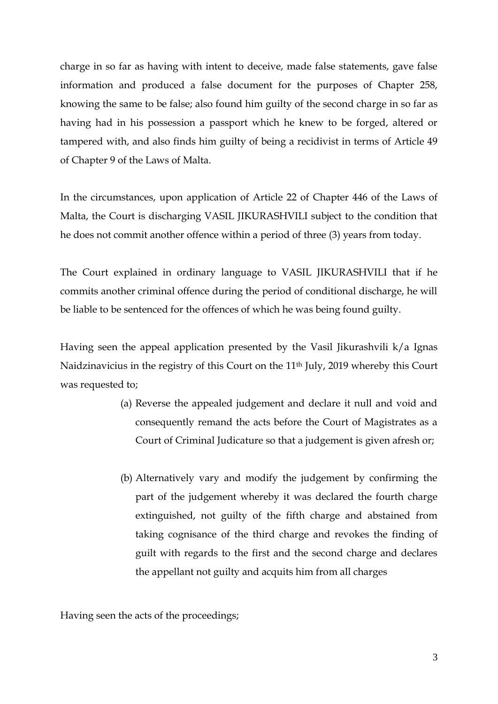charge in so far as having with intent to deceive, made false statements, gave false information and produced a false document for the purposes of Chapter 258, knowing the same to be false; also found him guilty of the second charge in so far as having had in his possession a passport which he knew to be forged, altered or tampered with, and also finds him guilty of being a recidivist in terms of Article 49 of Chapter 9 of the Laws of Malta.

In the circumstances, upon application of Article 22 of Chapter 446 of the Laws of Malta, the Court is discharging VASIL JIKURASHVILI subject to the condition that he does not commit another offence within a period of three (3) years from today.

The Court explained in ordinary language to VASIL JIKURASHVILI that if he commits another criminal offence during the period of conditional discharge, he will be liable to be sentenced for the offences of which he was being found guilty.

Having seen the appeal application presented by the Vasil Jikurashvili  $k/a$  Ignas Naidzinavicius in the registry of this Court on the 11th July, 2019 whereby this Court was requested to;

- (a) Reverse the appealed judgement and declare it null and void and consequently remand the acts before the Court of Magistrates as a Court of Criminal Judicature so that a judgement is given afresh or;
- (b) Alternatively vary and modify the judgement by confirming the part of the judgement whereby it was declared the fourth charge extinguished, not guilty of the fifth charge and abstained from taking cognisance of the third charge and revokes the finding of guilt with regards to the first and the second charge and declares the appellant not guilty and acquits him from all charges

Having seen the acts of the proceedings;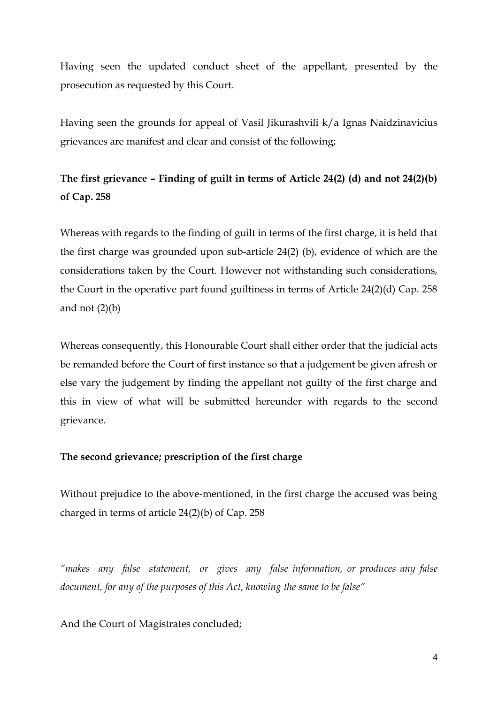Having seen the updated conduct sheet of the appellant, presented by the prosecution as requested by this Court.

Having seen the grounds for appeal of Vasil Jikurashvili k/a Ignas Naidzinavicius grievances are manifest and clear and consist of the following;

## **The first grievance – Finding of guilt in terms of Article 24(2) (d) and not 24(2)(b) of Cap. 258**

Whereas with regards to the finding of guilt in terms of the first charge, it is held that the first charge was grounded upon sub-article 24(2) (b), evidence of which are the considerations taken by the Court. However not withstanding such considerations, the Court in the operative part found guiltiness in terms of Article 24(2)(d) Cap. 258 and not  $(2)(b)$ 

Whereas consequently, this Honourable Court shall either order that the judicial acts be remanded before the Court of first instance so that a judgement be given afresh or else vary the judgement by finding the appellant not guilty of the first charge and this in view of what will be submitted hereunder with regards to the second grievance.

## **The second grievance; prescription of the first charge**

Without prejudice to the above-mentioned, in the first charge the accused was being charged in terms of article 24(2)(b) of Cap. 258

*"makes any false statement, or gives any false information, or produces any false document, for any of the purposes of this Act, knowing the same to be false"*

And the Court of Magistrates concluded;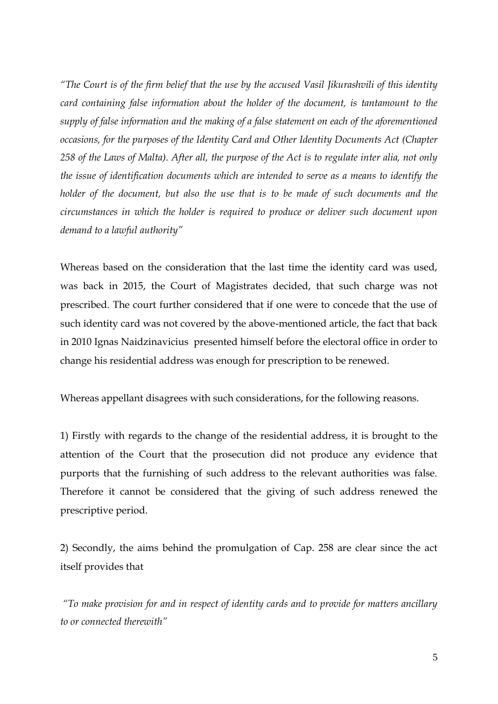*"The Court is of the firm belief that the use by the accused Vasil Jikurashvili of this identity card containing false information about the holder of the document, is tantamount to the supply of false information and the making of a false statement on each of the aforementioned occasions, for the purposes of the Identity Card and Other Identity Documents Act (Chapter 258 of the Laws of Malta). After all, the purpose of the Act is to regulate inter alia, not only the issue of identification documents which are intended to serve as a means to identify the holder of the document, but also the use that is to be made of such documents and the circumstances in which the holder is required to produce or deliver such document upon demand to a lawful authority"*

Whereas based on the consideration that the last time the identity card was used, was back in 2015, the Court of Magistrates decided, that such charge was not prescribed. The court further considered that if one were to concede that the use of such identity card was not covered by the above-mentioned article, the fact that back in 2010 Ignas Naidzinavicius presented himself before the electoral office in order to change his residential address was enough for prescription to be renewed.

Whereas appellant disagrees with such considerations, for the following reasons.

1) Firstly with regards to the change of the residential address, it is brought to the attention of the Court that the prosecution did not produce any evidence that purports that the furnishing of such address to the relevant authorities was false. Therefore it cannot be considered that the giving of such address renewed the prescriptive period.

2) Secondly, the aims behind the promulgation of Cap. 258 are clear since the act itself provides that

*"To make provision for and in respect of identity cards and to provide for matters ancillary to or connected therewith"*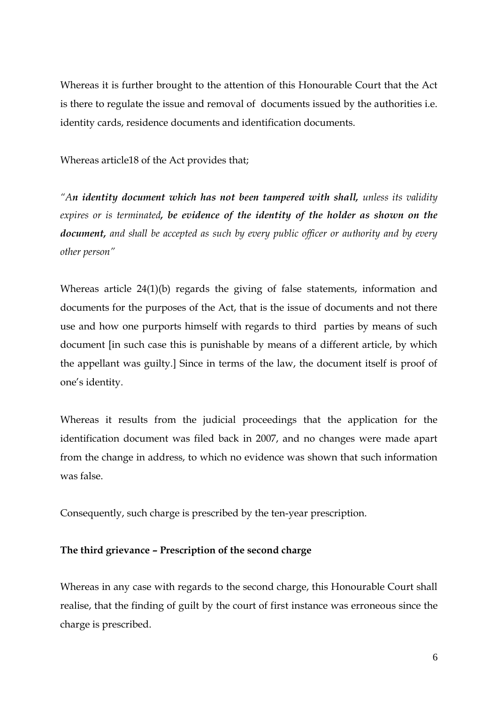Whereas it is further brought to the attention of this Honourable Court that the Act is there to regulate the issue and removal of documents issued by the authorities i.e. identity cards, residence documents and identification documents.

Whereas article18 of the Act provides that;

*"An identity document which has not been tampered with shall, unless its validity expires or is terminated, be evidence of the identity of the holder as shown on the document, and shall be accepted as such by every public officer or authority and by every other person"*

Whereas article 24(1)(b) regards the giving of false statements, information and documents for the purposes of the Act, that is the issue of documents and not there use and how one purports himself with regards to third parties by means of such document [in such case this is punishable by means of a different article, by which the appellant was guilty.] Since in terms of the law, the document itself is proof of one's identity.

Whereas it results from the judicial proceedings that the application for the identification document was filed back in 2007, and no changes were made apart from the change in address, to which no evidence was shown that such information was false.

Consequently, such charge is prescribed by the ten-year prescription.

## **The third grievance – Prescription of the second charge**

Whereas in any case with regards to the second charge, this Honourable Court shall realise, that the finding of guilt by the court of first instance was erroneous since the charge is prescribed.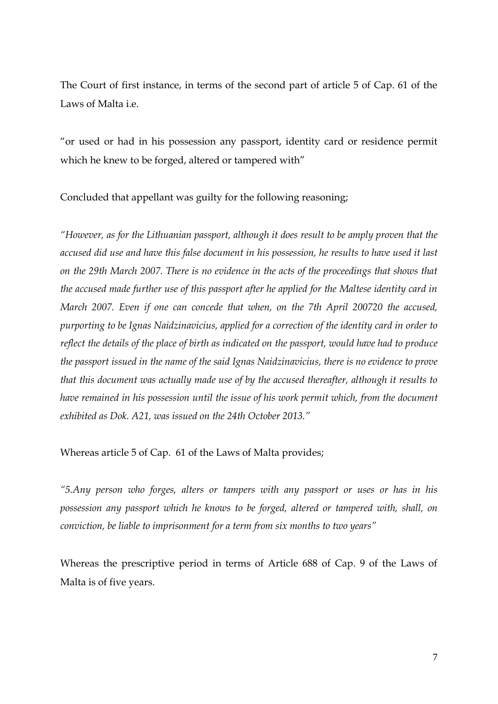The Court of first instance, in terms of the second part of article 5 of Cap. 61 of the Laws of Malta i.e.

"or used or had in his possession any passport, identity card or residence permit which he knew to be forged, altered or tampered with"

Concluded that appellant was guilty for the following reasoning;

*"However, as for the Lithuanian passport, although it does result to be amply proven that the accused did use and have this false document in his possession, he results to have used it last on the 29th March 2007. There is no evidence in the acts of the proceedings that shows that the accused made further use of this passport after he applied for the Maltese identity card in March 2007. Even if one can concede that when, on the 7th April 200720 the accused, purporting to be Ignas Naidzinavicius, applied for a correction of the identity card in order to reflect the details of the place of birth as indicated on the passport, would have had to produce the passport issued in the name of the said Ignas Naidzinavicius, there is no evidence to prove that this document was actually made use of by the accused thereafter, although it results to have remained in his possession until the issue of his work permit which, from the document exhibited as Dok. A21, was issued on the 24th October 2013."*

Whereas article 5 of Cap. 61 of the Laws of Malta provides;

*"5.Any person who forges, alters or tampers with any passport or uses or has in his possession any passport which he knows to be forged, altered or tampered with, shall, on conviction, be liable to imprisonment for a term from six months to two years"*

Whereas the prescriptive period in terms of Article 688 of Cap. 9 of the Laws of Malta is of five years.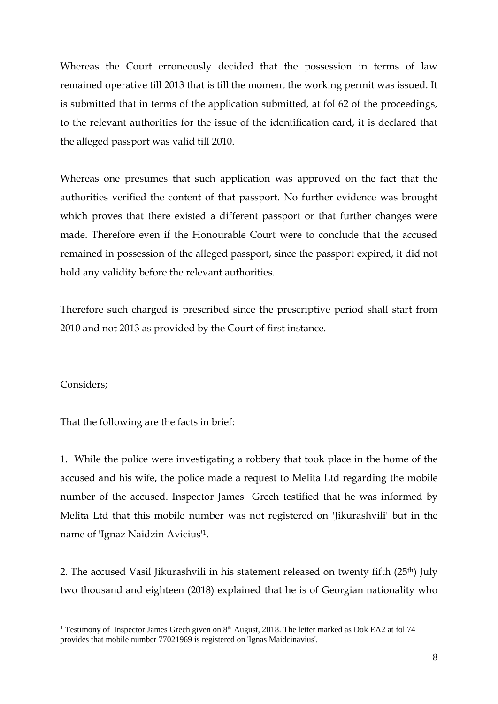Whereas the Court erroneously decided that the possession in terms of law remained operative till 2013 that is till the moment the working permit was issued. It is submitted that in terms of the application submitted, at fol 62 of the proceedings, to the relevant authorities for the issue of the identification card, it is declared that the alleged passport was valid till 2010.

Whereas one presumes that such application was approved on the fact that the authorities verified the content of that passport. No further evidence was brought which proves that there existed a different passport or that further changes were made. Therefore even if the Honourable Court were to conclude that the accused remained in possession of the alleged passport, since the passport expired, it did not hold any validity before the relevant authorities.

Therefore such charged is prescribed since the prescriptive period shall start from 2010 and not 2013 as provided by the Court of first instance.

## Considers;

1

That the following are the facts in brief:

1. While the police were investigating a robbery that took place in the home of the accused and his wife, the police made a request to Melita Ltd regarding the mobile number of the accused. Inspector James Grech testified that he was informed by Melita Ltd that this mobile number was not registered on 'Jikurashvili' but in the name of 'Ignaz Naidzin Avicius' 1.

2. The accused Vasil Jikurashvili in his statement released on twenty fifth (25<sup>th</sup>) July two thousand and eighteen (2018) explained that he is of Georgian nationality who

<sup>&</sup>lt;sup>1</sup> Testimony of Inspector James Grech given on 8<sup>th</sup> August, 2018. The letter marked as Dok EA2 at fol 74 provides that mobile number 77021969 is registered on 'Ignas Maidcinavius'.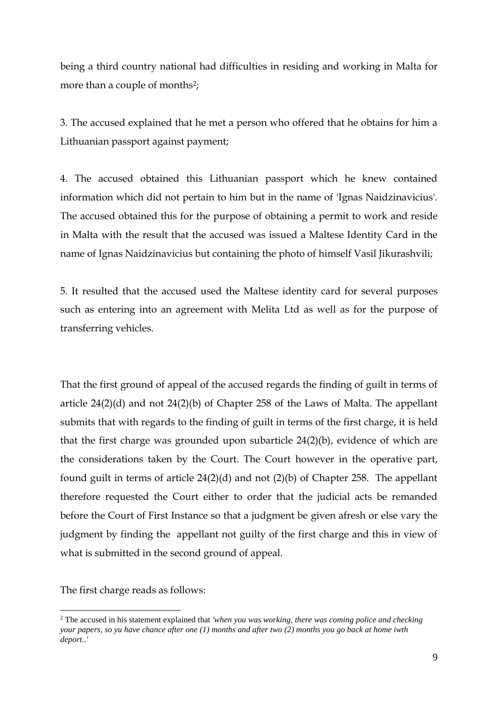being a third country national had difficulties in residing and working in Malta for more than a couple of months<sup>2</sup>;

3. The accused explained that he met a person who offered that he obtains for him a Lithuanian passport against payment;

4. The accused obtained this Lithuanian passport which he knew contained information which did not pertain to him but in the name of 'Ignas Naidzinavicius'. The accused obtained this for the purpose of obtaining a permit to work and reside in Malta with the result that the accused was issued a Maltese Identity Card in the name of Ignas Naidzinavicius but containing the photo of himself Vasil Jikurashvili;

5. It resulted that the accused used the Maltese identity card for several purposes such as entering into an agreement with Melita Ltd as well as for the purpose of transferring vehicles.

That the first ground of appeal of the accused regards the finding of guilt in terms of article 24(2)(d) and not 24(2)(b) of Chapter 258 of the Laws of Malta. The appellant submits that with regards to the finding of guilt in terms of the first charge, it is held that the first charge was grounded upon subarticle 24(2)(b), evidence of which are the considerations taken by the Court. The Court however in the operative part, found guilt in terms of article 24(2)(d) and not (2)(b) of Chapter 258. The appellant therefore requested the Court either to order that the judicial acts be remanded before the Court of First Instance so that a judgment be given afresh or else vary the judgment by finding the appellant not guilty of the first charge and this in view of what is submitted in the second ground of appeal.

The first charge reads as follows:

<u>.</u>

<sup>2</sup> The accused in his statement explained that *'when you was working, there was coming police and checking your papers, so yu have chance after one (1) months and after two (2) months you go back at home iwth deport..'*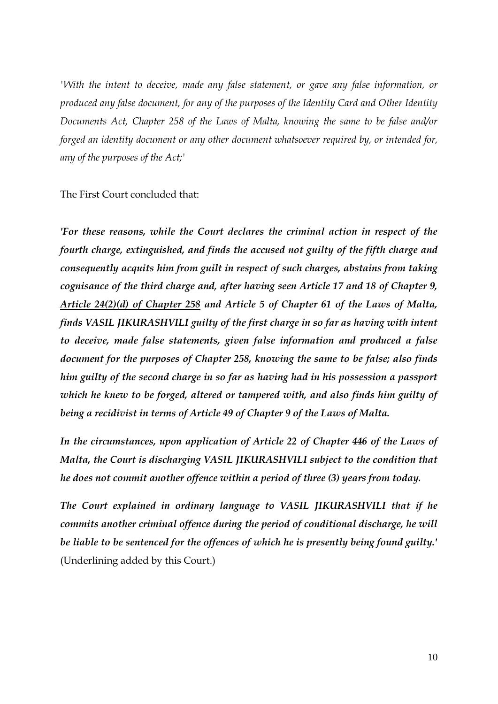*'With the intent to deceive, made any false statement, or gave any false information, or produced any false document, for any of the purposes of the Identity Card and Other Identity Documents Act, Chapter 258 of the Laws of Malta, knowing the same to be false and/or forged an identity document or any other document whatsoever required by, or intended for, any of the purposes of the Act;'*

The First Court concluded that:

*'For these reasons, while the Court declares the criminal action in respect of the fourth charge, extinguished, and finds the accused not guilty of the fifth charge and consequently acquits him from guilt in respect of such charges, abstains from taking cognisance of the third charge and, after having seen Article 17 and 18 of Chapter 9, Article 24(2)(d) of Chapter 258 and Article 5 of Chapter 61 of the Laws of Malta, finds VASIL JIKURASHVILI guilty of the first charge in so far as having with intent to deceive, made false statements, given false information and produced a false document for the purposes of Chapter 258, knowing the same to be false; also finds him guilty of the second charge in so far as having had in his possession a passport which he knew to be forged, altered or tampered with, and also finds him guilty of being a recidivist in terms of Article 49 of Chapter 9 of the Laws of Malta.* 

*In the circumstances, upon application of Article 22 of Chapter 446 of the Laws of Malta, the Court is discharging VASIL JIKURASHVILI subject to the condition that he does not commit another offence within a period of three (3) years from today.* 

*The Court explained in ordinary language to VASIL JIKURASHVILI that if he commits another criminal offence during the period of conditional discharge, he will be liable to be sentenced for the offences of which he is presently being found guilty.'*  (Underlining added by this Court.)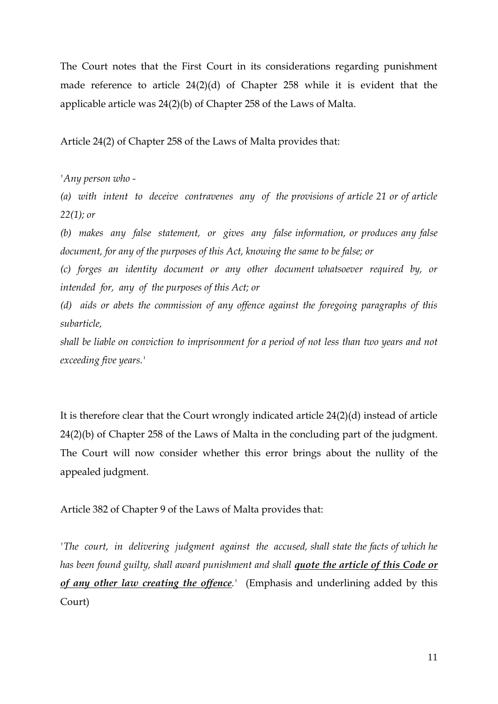The Court notes that the First Court in its considerations regarding punishment made reference to article 24(2)(d) of Chapter 258 while it is evident that the applicable article was 24(2)(b) of Chapter 258 of the Laws of Malta.

Article 24(2) of Chapter 258 of the Laws of Malta provides that:

*'Any person who -*

*(a) with intent to deceive contravenes any of the provisions of article 21 or of article 22(1); or*

*(b) makes any false statement, or gives any false information, or produces any false document, for any of the purposes of this Act, knowing the same to be false; or*

*(c) forges an identity document or any other document whatsoever required by, or intended for, any of the purposes of this Act; or*

*(d) aids or abets the commission of any offence against the foregoing paragraphs of this subarticle,*

*shall be liable on conviction to imprisonment for a period of not less than two years and not exceeding five years.'*

It is therefore clear that the Court wrongly indicated article 24(2)(d) instead of article 24(2)(b) of Chapter 258 of the Laws of Malta in the concluding part of the judgment. The Court will now consider whether this error brings about the nullity of the appealed judgment.

Article 382 of Chapter 9 of the Laws of Malta provides that:

*'The court, in delivering judgment against the accused, shall state the facts of which he has been found guilty, shall award punishment and shall quote the article of this Code or of any other law creating the offence.'* (Emphasis and underlining added by this Court)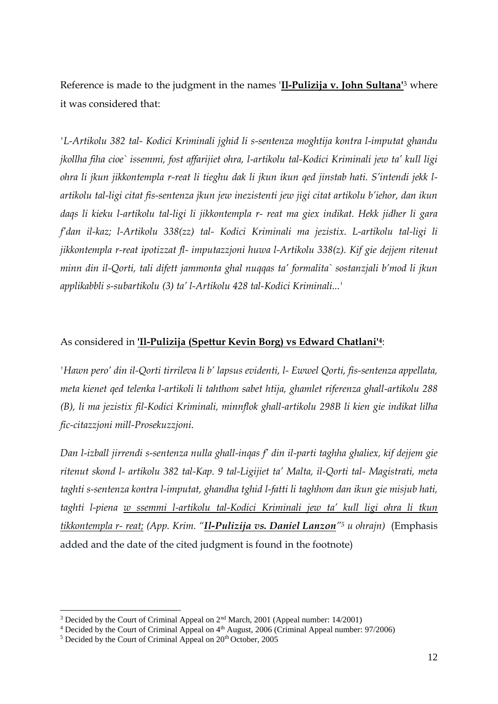Reference is made to the judgment in the names '**Il-Pulizija v. John Sultana'**<sup>3</sup> where it was considered that:

*'L-Artikolu 382 tal- Kodici Kriminali jghid li s-sentenza moghtija kontra l-imputat ghandu jkollha fiha cioe` issemmi, fost affarijiet ohra, l-artikolu tal-Kodici Kriminali jew ta' kull ligi ohra li jkun jikkontempla r-reat li tieghu dak li jkun ikun qed jinstab hati. S'intendi jekk lartikolu tal-ligi citat fis-sentenza jkun jew inezistenti jew jigi citat artikolu b'iehor, dan ikun daqs li kieku l-artikolu tal-ligi li jikkontempla r- reat ma giex indikat. Hekk jidher li gara f'dan il-kaz; l-Artikolu 338(zz) tal- Kodici Kriminali ma jezistix. L-artikolu tal-ligi li jikkontempla r-reat ipotizzat fl- imputazzjoni huwa l-Artikolu 338(z). Kif gie dejjem ritenut minn din il-Qorti, tali difett jammonta ghal nuqqas ta' formalita` sostanzjali b'mod li jkun applikabbli s-subartikolu (3) ta' l-Artikolu 428 tal-Kodici Kriminali...'*

## As considered in **'Il-Pulizija (Spettur Kevin Borg) vs Edward Chatlani'<sup>4</sup>**:

*'Hawn pero' din il-Qorti tirrileva li b' lapsus evidenti, l- Ewwel Qorti, fis-sentenza appellata, meta kienet qed telenka l-artikoli li tahthom sabet htija, ghamlet riferenza ghall-artikolu 288 (B), li ma jezistix fil-Kodici Kriminali, minnflok ghall-artikolu 298B li kien gie indikat lilha fic-citazzjoni mill-Prosekuzzjoni.* 

*Dan l-izball jirrendi s-sentenza nulla ghall-inqas f' din il-parti taghha ghaliex, kif dejjem gie ritenut skond l- artikolu 382 tal-Kap. 9 tal-Ligijiet ta' Malta, il-Qorti tal- Magistrati, meta taghti s-sentenza kontra l-imputat, ghandha tghid l-fatti li taghhom dan ikun gie misjub hati, taghti l-piena w ssemmi l-artikolu tal-Kodici Kriminali jew ta' kull ligi ohra li tkun tikkontempla r- reat; (App. Krim. "Il-Pulizija vs. Daniel Lanzon"<sup>5</sup> u ohrajn)* (Emphasis added and the date of the cited judgment is found in the footnote)

<u>.</u>

<sup>&</sup>lt;sup>3</sup> Decided by the Court of Criminal Appeal on 2<sup>nd</sup> March, 2001 (Appeal number: 14/2001)

 $4$  Decided by the Court of Criminal Appeal on  $4<sup>th</sup>$  August, 2006 (Criminal Appeal number: 97/2006)

 $5$  Decided by the Court of Criminal Appeal on  $20<sup>th</sup>$  October,  $2005$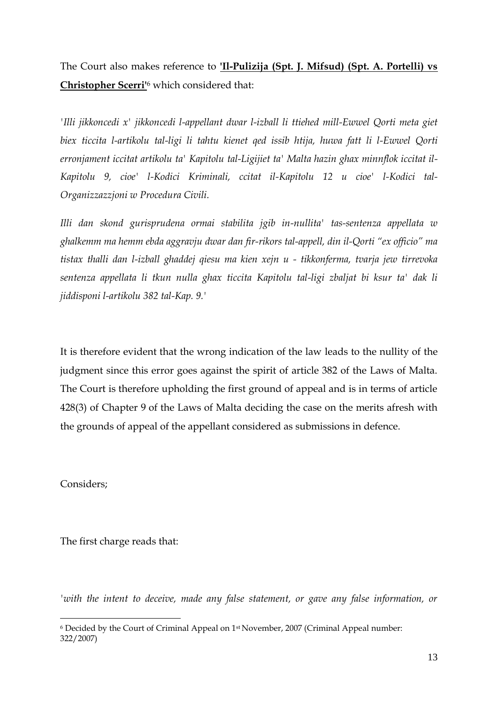The Court also makes reference to **'Il-Pulizija (Spt. J. Mifsud) (Spt. A. Portelli) vs Christopher Scerri'**<sup>6</sup> which considered that:

*'Illi jikkoncedi x' jikkoncedi l-appellant dwar l-izball li ttiehed mill-Ewwel Qorti meta giet biex ticcita l-artikolu tal-ligi li tahtu kienet qed issib htija, huwa fatt li l-Ewwel Qorti erronjament iccitat artikolu ta' Kapitolu tal-Ligijiet ta' Malta hazin ghax minnflok iccitat il-Kapitolu 9, cioe' l-Kodici Kriminali, ccitat il-Kapitolu 12 u cioe' l-Kodici tal-Organizzazzjoni w Procedura Civili.* 

*Illi dan skond gurisprudena ormai stabilita jgib in-nullita' tas-sentenza appellata w ghalkemm ma hemm ebda aggravju dwar dan fir-rikors tal-appell, din il-Qorti "ex officio" ma tistax thalli dan l-izball ghaddej qiesu ma kien xejn u - tikkonferma, tvarja jew tirrevoka sentenza appellata li tkun nulla ghax ticcita Kapitolu tal-ligi zbaljat bi ksur ta' dak li jiddisponi l-artikolu 382 tal-Kap. 9.'*

It is therefore evident that the wrong indication of the law leads to the nullity of the judgment since this error goes against the spirit of article 382 of the Laws of Malta. The Court is therefore upholding the first ground of appeal and is in terms of article 428(3) of Chapter 9 of the Laws of Malta deciding the case on the merits afresh with the grounds of appeal of the appellant considered as submissions in defence.

Considers;

<u>.</u>

The first charge reads that:

*'with the intent to deceive, made any false statement, or gave any false information, or* 

<sup>&</sup>lt;sup>6</sup> Decided by the Court of Criminal Appeal on 1<sup>st</sup> November, 2007 (Criminal Appeal number: 322/2007)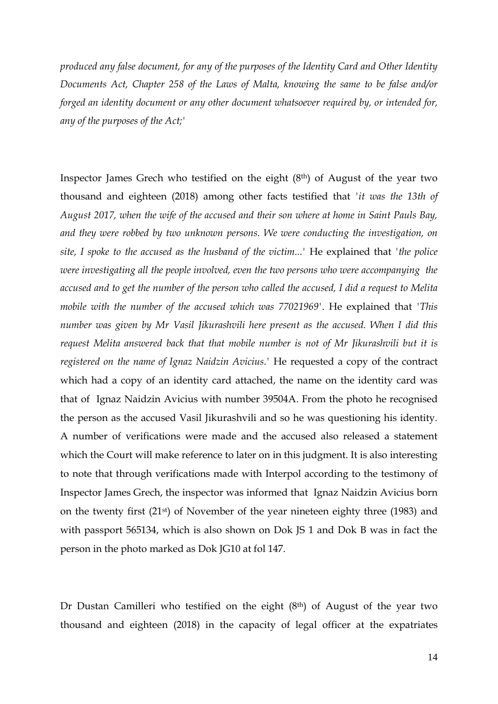*produced any false document, for any of the purposes of the Identity Card and Other Identity Documents Act, Chapter 258 of the Laws of Malta, knowing the same to be false and/or forged an identity document or any other document whatsoever required by, or intended for, any of the purposes of the Act;'* 

Inspector James Grech who testified on the eight (8th) of August of the year two thousand and eighteen (2018) among other facts testified that *'it was the 13th of August 2017, when the wife of the accused and their son where at home in Saint Pauls Bay, and they were robbed by two unknown persons. We were conducting the investigation, on site, I spoke to the accused as the husband of the victim...'* He explained that *'the police were investigating all the people involved, even the two persons who were accompanying the accused and to get the number of the person who called the accused, I did a request to Melita mobile with the number of the accused which was 77021969'*. He explained that *'This number was given by Mr Vasil Jikurashvili here present as the accused. When I did this request Melita answered back that that mobile number is not of Mr Jikurashvili but it is registered on the name of Ignaz Naidzin Avicius.'* He requested a copy of the contract which had a copy of an identity card attached, the name on the identity card was that of Ignaz Naidzin Avicius with number 39504A. From the photo he recognised the person as the accused Vasil Jikurashvili and so he was questioning his identity. A number of verifications were made and the accused also released a statement which the Court will make reference to later on in this judgment. It is also interesting to note that through verifications made with Interpol according to the testimony of Inspector James Grech, the inspector was informed that Ignaz Naidzin Avicius born on the twenty first (21st) of November of the year nineteen eighty three (1983) and with passport 565134, which is also shown on Dok JS 1 and Dok B was in fact the person in the photo marked as Dok JG10 at fol 147.

Dr Dustan Camilleri who testified on the eight (8th) of August of the year two thousand and eighteen (2018) in the capacity of legal officer at the expatriates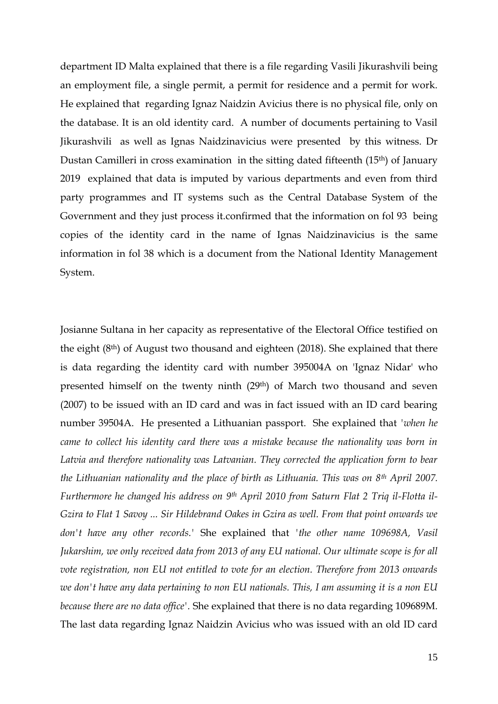department ID Malta explained that there is a file regarding Vasili Jikurashvili being an employment file, a single permit, a permit for residence and a permit for work. He explained that regarding Ignaz Naidzin Avicius there is no physical file, only on the database. It is an old identity card. A number of documents pertaining to Vasil Jikurashvili as well as Ignas Naidzinavicius were presented by this witness. Dr Dustan Camilleri in cross examination in the sitting dated fifteenth (15th) of January 2019 explained that data is imputed by various departments and even from third party programmes and IT systems such as the Central Database System of the Government and they just process it.confirmed that the information on fol 93 being copies of the identity card in the name of Ignas Naidzinavicius is the same information in fol 38 which is a document from the National Identity Management System.

Josianne Sultana in her capacity as representative of the Electoral Office testified on the eight (8th) of August two thousand and eighteen (2018). She explained that there is data regarding the identity card with number 395004A on 'Ignaz Nidar' who presented himself on the twenty ninth (29th) of March two thousand and seven (2007) to be issued with an ID card and was in fact issued with an ID card bearing number 39504A. He presented a Lithuanian passport. She explained that *'when he came to collect his identity card there was a mistake because the nationality was born in Latvia and therefore nationality was Latvanian. They corrected the application form to bear the Lithuanian nationality and the place of birth as Lithuania. This was on 8th April 2007. Furthermore he changed his address on 9th April 2010 from Saturn Flat 2 Triq il-Flotta il-Gzira to Flat 1 Savoy ... Sir Hildebrand Oakes in Gzira as well. From that point onwards we don't have any other records.'* She explained that *'the other name 109698A, Vasil Jukarshim, we only received data from 2013 of any EU national. Our ultimate scope is for all vote registration, non EU not entitled to vote for an election. Therefore from 2013 onwards we don't have any data pertaining to non EU nationals. This, I am assuming it is a non EU because there are no data office'.* She explained that there is no data regarding 109689M. The last data regarding Ignaz Naidzin Avicius who was issued with an old ID card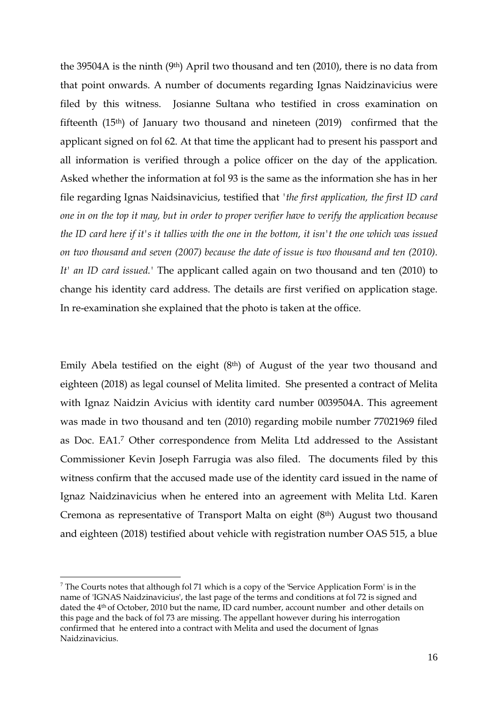the 39504A is the ninth  $(9<sup>th</sup>)$  April two thousand and ten  $(2010)$ , there is no data from that point onwards. A number of documents regarding Ignas Naidzinavicius were filed by this witness. Josianne Sultana who testified in cross examination on fifteenth (15th) of January two thousand and nineteen (2019) confirmed that the applicant signed on fol 62. At that time the applicant had to present his passport and all information is verified through a police officer on the day of the application. Asked whether the information at fol 93 is the same as the information she has in her file regarding Ignas Naidsinavicius, testified that *'the first application, the first ID card one in on the top it may, but in order to proper verifier have to verify the application because the ID card here if it's it tallies with the one in the bottom, it isn't the one which was issued on two thousand and seven (2007) because the date of issue is two thousand and ten (2010). It' an ID card issued.'* The applicant called again on two thousand and ten (2010) to change his identity card address. The details are first verified on application stage. In re-examination she explained that the photo is taken at the office.

Emily Abela testified on the eight (8th) of August of the year two thousand and eighteen (2018) as legal counsel of Melita limited. She presented a contract of Melita with Ignaz Naidzin Avicius with identity card number 0039504A. This agreement was made in two thousand and ten (2010) regarding mobile number 77021969 filed as Doc. EA1.<sup>7</sup> Other correspondence from Melita Ltd addressed to the Assistant Commissioner Kevin Joseph Farrugia was also filed. The documents filed by this witness confirm that the accused made use of the identity card issued in the name of Ignaz Naidzinavicius when he entered into an agreement with Melita Ltd. Karen Cremona as representative of Transport Malta on eight (8<sup>th</sup>) August two thousand and eighteen (2018) testified about vehicle with registration number OAS 515, a blue

1

 $<sup>7</sup>$  The Courts notes that although fol 71 which is a copy of the 'Service Application Form' is in the</sup> name of 'IGNAS Naidzinavicius', the last page of the terms and conditions at fol 72 is signed and dated the 4th of October, 2010 but the name, ID card number, account number and other details on this page and the back of fol 73 are missing. The appellant however during his interrogation confirmed that he entered into a contract with Melita and used the document of Ignas Naidzinavicius.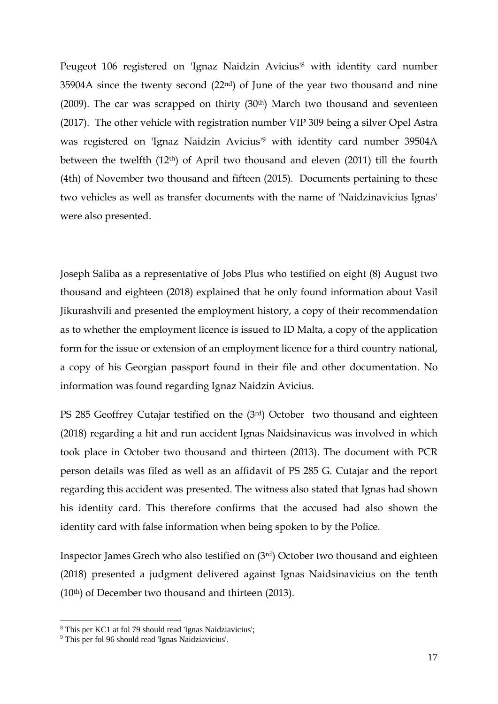Peugeot 106 registered on 'Ignaz Naidzin Avicius' <sup>8</sup> with identity card number 35904A since the twenty second (22nd) of June of the year two thousand and nine (2009). The car was scrapped on thirty  $(30<sup>th</sup>)$  March two thousand and seventeen (2017). The other vehicle with registration number VIP 309 being a silver Opel Astra was registered on 'Ignaz Naidzin Avicius' <sup>9</sup> with identity card number 39504A between the twelfth (12th) of April two thousand and eleven (2011) till the fourth (4th) of November two thousand and fifteen (2015). Documents pertaining to these two vehicles as well as transfer documents with the name of 'Naidzinavicius Ignas' were also presented.

Joseph Saliba as a representative of Jobs Plus who testified on eight (8) August two thousand and eighteen (2018) explained that he only found information about Vasil Jikurashvili and presented the employment history, a copy of their recommendation as to whether the employment licence is issued to ID Malta, a copy of the application form for the issue or extension of an employment licence for a third country national, a copy of his Georgian passport found in their file and other documentation. No information was found regarding Ignaz Naidzin Avicius.

PS 285 Geoffrey Cutajar testified on the (3rd) October two thousand and eighteen (2018) regarding a hit and run accident Ignas Naidsinavicus was involved in which took place in October two thousand and thirteen (2013). The document with PCR person details was filed as well as an affidavit of PS 285 G. Cutajar and the report regarding this accident was presented. The witness also stated that Ignas had shown his identity card. This therefore confirms that the accused had also shown the identity card with false information when being spoken to by the Police.

Inspector James Grech who also testified on (3rd) October two thousand and eighteen (2018) presented a judgment delivered against Ignas Naidsinavicius on the tenth (10th) of December two thousand and thirteen (2013).

1

<sup>8</sup> This per KC1 at fol 79 should read 'Ignas Naidziavicius';

<sup>9</sup> This per fol 96 should read 'Ignas Naidziavicius'.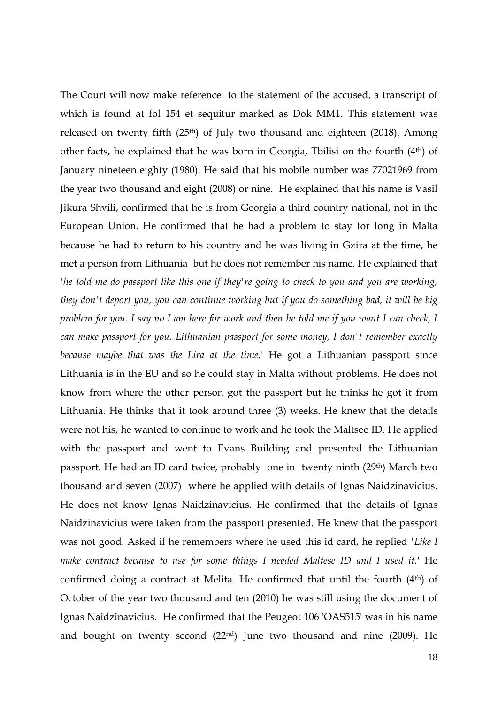The Court will now make reference to the statement of the accused, a transcript of which is found at fol 154 et sequitur marked as Dok MM1. This statement was released on twenty fifth (25<sup>th</sup>) of July two thousand and eighteen (2018). Among other facts, he explained that he was born in Georgia, Tbilisi on the fourth (4th) of January nineteen eighty (1980). He said that his mobile number was 77021969 from the year two thousand and eight (2008) or nine. He explained that his name is Vasil Jikura Shvili, confirmed that he is from Georgia a third country national, not in the European Union. He confirmed that he had a problem to stay for long in Malta because he had to return to his country and he was living in Gzira at the time, he met a person from Lithuania but he does not remember his name. He explained that *'he told me do passport like this one if they're going to check to you and you are working, they don't deport you, you can continue working but if you do something bad, it will be big problem for you. I say no I am here for work and then he told me if you want I can check, I can make passport for you. Lithuanian passport for some money, I don't remember exactly because maybe that was the Lira at the time.*' He got a Lithuanian passport since Lithuania is in the EU and so he could stay in Malta without problems. He does not know from where the other person got the passport but he thinks he got it from Lithuania. He thinks that it took around three (3) weeks. He knew that the details were not his, he wanted to continue to work and he took the Maltsee ID. He applied with the passport and went to Evans Building and presented the Lithuanian passport. He had an ID card twice, probably one in twenty ninth (29th) March two thousand and seven (2007) where he applied with details of Ignas Naidzinavicius. He does not know Ignas Naidzinavicius. He confirmed that the details of Ignas Naidzinavicius were taken from the passport presented. He knew that the passport was not good. Asked if he remembers where he used this id card, he replied *'Like I make contract because to use for some things I needed Maltese ID and I used it.*' He confirmed doing a contract at Melita. He confirmed that until the fourth  $(4<sup>th</sup>)$  of October of the year two thousand and ten (2010) he was still using the document of Ignas Naidzinavicius. He confirmed that the Peugeot 106 'OAS515' was in his name and bought on twenty second (22nd) June two thousand and nine (2009). He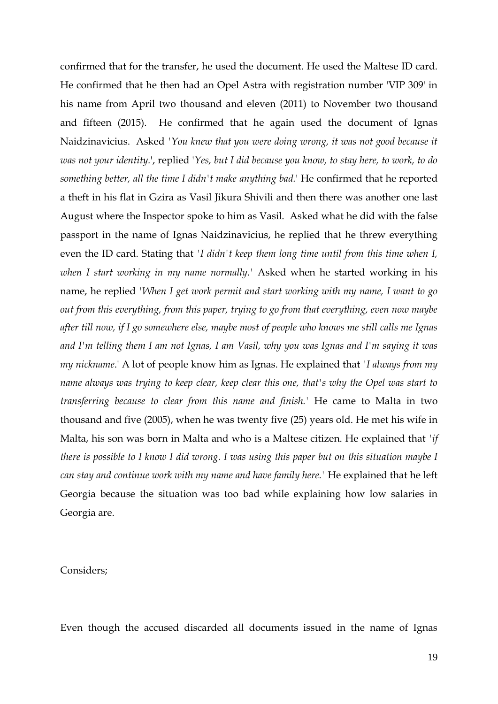confirmed that for the transfer, he used the document. He used the Maltese ID card. He confirmed that he then had an Opel Astra with registration number 'VIP 309' in his name from April two thousand and eleven (2011) to November two thousand and fifteen (2015). He confirmed that he again used the document of Ignas Naidzinavicius. Asked *'You knew that you were doing wrong, it was not good because it was not your identity.*', replied '*Yes, but I did because you know, to stay here, to work, to do something better, all the time I didn't make anything bad.*' He confirmed that he reported a theft in his flat in Gzira as Vasil Jikura Shivili and then there was another one last August where the Inspector spoke to him as Vasil. Asked what he did with the false passport in the name of Ignas Naidzinavicius, he replied that he threw everything even the ID card. Stating that *'I didn't keep them long time until from this time when I, when I start working in my name normally.'* Asked when he started working in his name, he replied *'When I get work permit and start working with my name, I want to go out from this everything, from this paper, trying to go from that everything, even now maybe after till now, if I go somewhere else, maybe most of people who knows me still calls me Ignas and I'm telling them I am not Ignas, I am Vasil, why you was Ignas and I'm saying it was my nickname*.' A lot of people know him as Ignas. He explained that *'I always from my name always was trying to keep clear, keep clear this one, that's why the Opel was start to transferring because to clear from this name and finish.'* He came to Malta in two thousand and five (2005), when he was twenty five (25) years old. He met his wife in Malta, his son was born in Malta and who is a Maltese citizen. He explained that *'if there is possible to I know I did wrong. I was using this paper but on this situation maybe I can stay and continue work with my name and have family here.'* He explained that he left Georgia because the situation was too bad while explaining how low salaries in Georgia are.

## Considers;

Even though the accused discarded all documents issued in the name of Ignas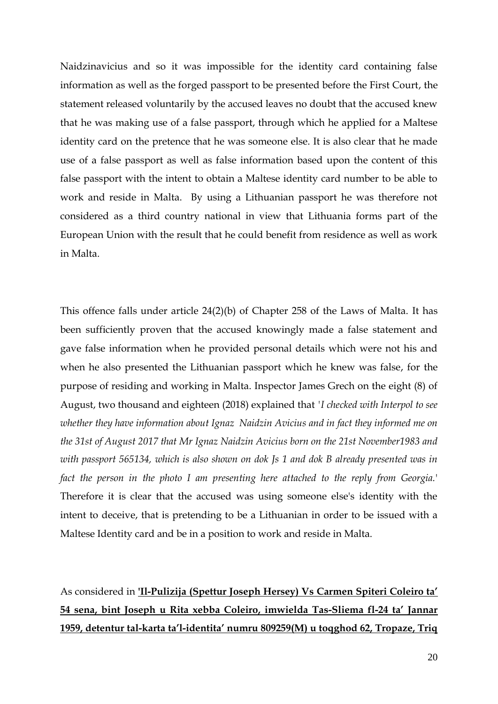Naidzinavicius and so it was impossible for the identity card containing false information as well as the forged passport to be presented before the First Court, the statement released voluntarily by the accused leaves no doubt that the accused knew that he was making use of a false passport, through which he applied for a Maltese identity card on the pretence that he was someone else. It is also clear that he made use of a false passport as well as false information based upon the content of this false passport with the intent to obtain a Maltese identity card number to be able to work and reside in Malta. By using a Lithuanian passport he was therefore not considered as a third country national in view that Lithuania forms part of the European Union with the result that he could benefit from residence as well as work in Malta.

This offence falls under article 24(2)(b) of Chapter 258 of the Laws of Malta. It has been sufficiently proven that the accused knowingly made a false statement and gave false information when he provided personal details which were not his and when he also presented the Lithuanian passport which he knew was false, for the purpose of residing and working in Malta. Inspector James Grech on the eight (8) of August, two thousand and eighteen (2018) explained that *'I checked with Interpol to see whether they have information about Ignaz Naidzin Avicius and in fact they informed me on the 31st of August 2017 that Mr Ignaz Naidzin Avicius born on the 21st November1983 and with passport 565134, which is also shown on dok Js 1 and dok B already presented was in fact the person in the photo I am presenting here attached to the reply from Georgia.*' Therefore it is clear that the accused was using someone else's identity with the intent to deceive, that is pretending to be a Lithuanian in order to be issued with a Maltese Identity card and be in a position to work and reside in Malta.

As considered in **'Il-Pulizija (Spettur Joseph Hersey) Vs Carmen Spiteri Coleiro ta' 54 sena, bint Joseph u Rita xebba Coleiro, imwielda Tas-Sliema fl-24 ta' Jannar 1959, detentur tal-karta ta'l-identita' numru 809259(M) u toqghod 62, Tropaze, Triq**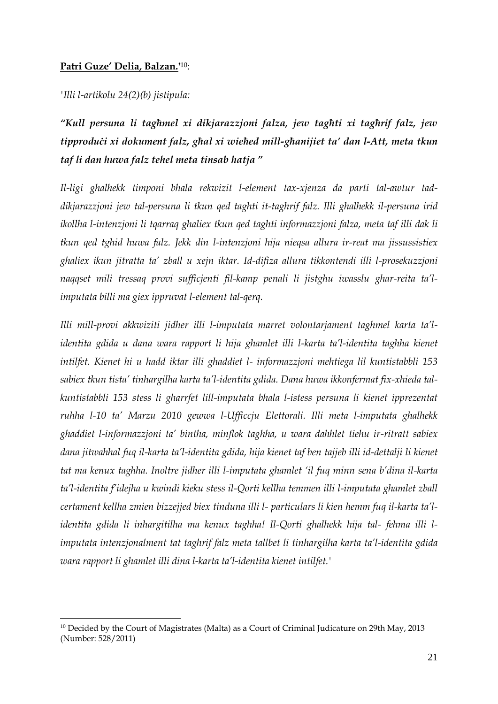## **Patri Guze' Delia, Balzan.'** 10:

*'Illi l-artikolu 24(2)(b) jistipula:* 

<u>.</u>

*"Kull persuna li tagħmel xi dikjarazzjoni falza, jew tagħti xi tagħrif falz, jew tipproduċi xi dokument falz, għal xi wieħed mill-għanijiet ta' dan l-Att, meta tkun taf li dan huwa falz tehel meta tinsab hatja "* 

*Il-ligi ghalhekk timponi bhala rekwizit l-element tax-xjenza da parti tal-awtur taddikjarazzjoni jew tal-persuna li tkun qed taghti it-taghrif falz. Illi ghalhekk il-persuna irid ikollha l-intenzjoni li tqarraq ghaliex tkun qed taghti informazzjoni falza, meta taf illi dak li tkun qed tghid huwa falz. Jekk din l-intenzjoni hija nieqsa allura ir-reat ma jissussistiex ghaliex ikun jitratta ta' zball u xejn iktar. Id-difiza allura tikkontendi illi l-prosekuzzjoni naqqset mili tressaq provi sufficjenti fil-kamp penali li jistghu iwasslu ghar-reita ta'limputata billi ma giex ippruvat l-element tal-qerq.* 

*Illi mill-provi akkwiziti jidher illi l-imputata marret volontarjament taghmel karta ta'lidentita gdida u dana wara rapport li hija ghamlet illi l-karta ta'l-identita taghha kienet intilfet. Kienet hi u hadd iktar illi ghaddiet l- informazzjoni mehtiega lil kuntistabbli 153 sabiex tkun tista' tinhargilha karta ta'l-identita gdida. Dana huwa ikkonfermat fix-xhieda talkuntistabbli 153 stess li gharrfet lill-imputata bhala l-istess persuna li kienet ipprezentat ruhha l-10 ta' Marzu 2010 gewwa l-Ufficcju Elettorali. Illi meta l-imputata ghalhekk ghaddiet l-informazzjoni ta' bintha, minflok taghha, u wara dahhlet tiehu ir-ritratt sabiex dana jitwahhal fuq il-karta ta'l-identita gdida, hija kienet taf ben tajjeb illi id-dettalji li kienet tat ma kenux taghha. Inoltre jidher illi l-imputata ghamlet 'il fuq minn sena b'dina il-karta ta'l-identita f'idejha u kwindi kieku stess il-Qorti kellha temmen illi l-imputata ghamlet zball certament kellha zmien bizzejjed biex tinduna illi l- particulars li kien hemm fuq il-karta ta'lidentita gdida li inhargitilha ma kenux taghha! Il-Qorti ghalhekk hija tal- fehma illi limputata intenzjonalment tat taghrif falz meta tallbet li tinhargilha karta ta'l-identita gdida wara rapport li ghamlet illi dina l-karta ta'l-identita kienet intilfet.'* 

<sup>&</sup>lt;sup>10</sup> Decided by the Court of Magistrates (Malta) as a Court of Criminal Judicature on 29th May, 2013 (Number: 528/2011)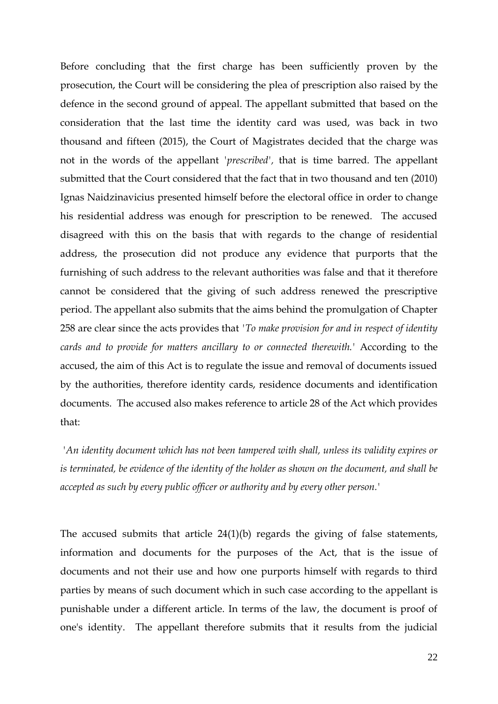Before concluding that the first charge has been sufficiently proven by the prosecution, the Court will be considering the plea of prescription also raised by the defence in the second ground of appeal. The appellant submitted that based on the consideration that the last time the identity card was used, was back in two thousand and fifteen (2015), the Court of Magistrates decided that the charge was not in the words of the appellant *'prescribed',* that is time barred. The appellant submitted that the Court considered that the fact that in two thousand and ten (2010) Ignas Naidzinavicius presented himself before the electoral office in order to change his residential address was enough for prescription to be renewed. The accused disagreed with this on the basis that with regards to the change of residential address, the prosecution did not produce any evidence that purports that the furnishing of such address to the relevant authorities was false and that it therefore cannot be considered that the giving of such address renewed the prescriptive period. The appellant also submits that the aims behind the promulgation of Chapter 258 are clear since the acts provides that *'To make provision for and in respect of identity cards and to provide for matters ancillary to or connected therewith.'* According to the accused, the aim of this Act is to regulate the issue and removal of documents issued by the authorities, therefore identity cards, residence documents and identification documents. The accused also makes reference to article 28 of the Act which provides that:

*'An identity document which has not been tampered with shall, unless its validity expires or is terminated, be evidence of the identity of the holder as shown on the document, and shall be accepted as such by every public officer or authority and by every other person.'*

The accused submits that article 24(1)(b) regards the giving of false statements, information and documents for the purposes of the Act, that is the issue of documents and not their use and how one purports himself with regards to third parties by means of such document which in such case according to the appellant is punishable under a different article. In terms of the law, the document is proof of one's identity. The appellant therefore submits that it results from the judicial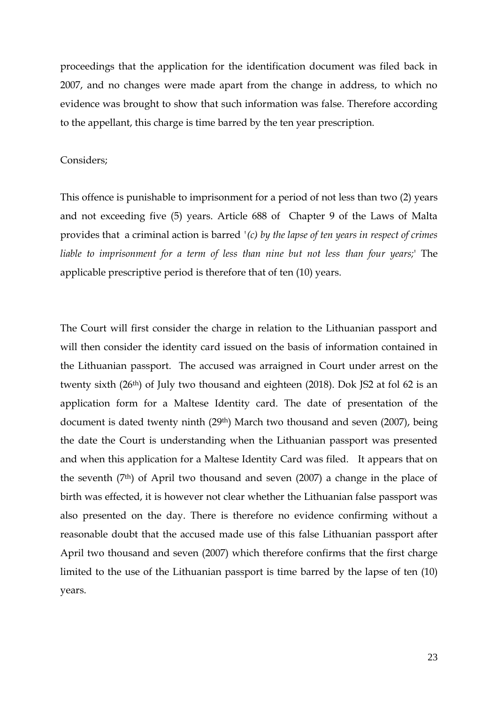proceedings that the application for the identification document was filed back in 2007, and no changes were made apart from the change in address, to which no evidence was brought to show that such information was false. Therefore according to the appellant, this charge is time barred by the ten year prescription.

## Considers;

This offence is punishable to imprisonment for a period of not less than two (2) years and not exceeding five (5) years. Article 688 of Chapter 9 of the Laws of Malta provides that a criminal action is barred *'(c) by the lapse of ten years in respect of crimes liable to imprisonment for a term of less than nine but not less than four years;*' The applicable prescriptive period is therefore that of ten (10) years.

The Court will first consider the charge in relation to the Lithuanian passport and will then consider the identity card issued on the basis of information contained in the Lithuanian passport. The accused was arraigned in Court under arrest on the twenty sixth (26<sup>th</sup>) of July two thousand and eighteen (2018). Dok JS2 at fol 62 is an application form for a Maltese Identity card. The date of presentation of the document is dated twenty ninth (29th) March two thousand and seven (2007), being the date the Court is understanding when the Lithuanian passport was presented and when this application for a Maltese Identity Card was filed. It appears that on the seventh  $(7<sup>th</sup>)$  of April two thousand and seven  $(2007)$  a change in the place of birth was effected, it is however not clear whether the Lithuanian false passport was also presented on the day. There is therefore no evidence confirming without a reasonable doubt that the accused made use of this false Lithuanian passport after April two thousand and seven (2007) which therefore confirms that the first charge limited to the use of the Lithuanian passport is time barred by the lapse of ten (10) years.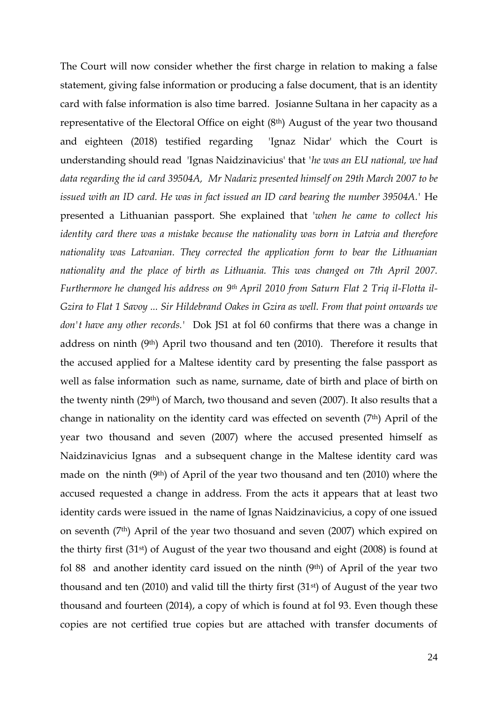The Court will now consider whether the first charge in relation to making a false statement, giving false information or producing a false document, that is an identity card with false information is also time barred. Josianne Sultana in her capacity as a representative of the Electoral Office on eight (8th) August of the year two thousand and eighteen (2018) testified regarding 'Ignaz Nidar' which the Court is understanding should read 'Ignas Naidzinavicius' that *'he was an EU national, we had data regarding the id card 39504A, Mr Nadariz presented himself on 29th March 2007 to be issued with an ID card. He was in fact issued an ID card bearing the number 39504A.*' He presented a Lithuanian passport. She explained that '*when he came to collect his identity card there was a mistake because the nationality was born in Latvia and therefore nationality was Latvanian. They corrected the application form to bear the Lithuanian nationality and the place of birth as Lithuania. This was changed on 7th April 2007. Furthermore he changed his address on 9th April 2010 from Saturn Flat 2 Triq il-Flotta il-Gzira to Flat 1 Savoy ... Sir Hildebrand Oakes in Gzira as well. From that point onwards we don't have any other records.'* Dok JS1 at fol 60 confirms that there was a change in address on ninth (9th) April two thousand and ten (2010). Therefore it results that the accused applied for a Maltese identity card by presenting the false passport as well as false information such as name, surname, date of birth and place of birth on the twenty ninth (29th) of March, two thousand and seven (2007). It also results that a change in nationality on the identity card was effected on seventh (7th) April of the year two thousand and seven (2007) where the accused presented himself as Naidzinavicius Ignas and a subsequent change in the Maltese identity card was made on the ninth (9th) of April of the year two thousand and ten (2010) where the accused requested a change in address. From the acts it appears that at least two identity cards were issued in the name of Ignas Naidzinavicius, a copy of one issued on seventh (7th) April of the year two thosuand and seven (2007) which expired on the thirty first (31st) of August of the year two thousand and eight (2008) is found at fol 88 and another identity card issued on the ninth  $(9<sup>th</sup>)$  of April of the year two thousand and ten  $(2010)$  and valid till the thirty first  $(31<sup>st</sup>)$  of August of the year two thousand and fourteen (2014), a copy of which is found at fol 93. Even though these copies are not certified true copies but are attached with transfer documents of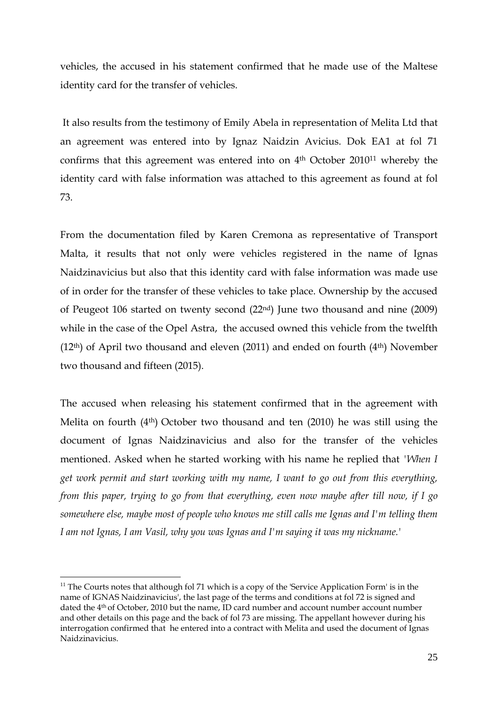vehicles, the accused in his statement confirmed that he made use of the Maltese identity card for the transfer of vehicles.

It also results from the testimony of Emily Abela in representation of Melita Ltd that an agreement was entered into by Ignaz Naidzin Avicius. Dok EA1 at fol 71 confirms that this agreement was entered into on 4<sup>th</sup> October 2010<sup>11</sup> whereby the identity card with false information was attached to this agreement as found at fol 73.

From the documentation filed by Karen Cremona as representative of Transport Malta, it results that not only were vehicles registered in the name of Ignas Naidzinavicius but also that this identity card with false information was made use of in order for the transfer of these vehicles to take place. Ownership by the accused of Peugeot 106 started on twenty second (22nd) June two thousand and nine (2009) while in the case of the Opel Astra, the accused owned this vehicle from the twelfth  $(12<sup>th</sup>)$  of April two thousand and eleven  $(2011)$  and ended on fourth  $(4<sup>th</sup>)$  November two thousand and fifteen (2015).

The accused when releasing his statement confirmed that in the agreement with Melita on fourth (4th) October two thousand and ten (2010) he was still using the document of Ignas Naidzinavicius and also for the transfer of the vehicles mentioned. Asked when he started working with his name he replied that *'When I get work permit and start working with my name, I want to go out from this everything, from this paper, trying to go from that everything, even now maybe after till now, if I go somewhere else, maybe most of people who knows me still calls me Ignas and I'm telling them I am not Ignas, I am Vasil, why you was Ignas and I'm saying it was my nickname.'*

1

 $11$  The Courts notes that although fol 71 which is a copy of the 'Service Application Form' is in the name of IGNAS Naidzinavicius', the last page of the terms and conditions at fol 72 is signed and dated the 4th of October, 2010 but the name, ID card number and account number account number and other details on this page and the back of fol 73 are missing. The appellant however during his interrogation confirmed that he entered into a contract with Melita and used the document of Ignas Naidzinavicius.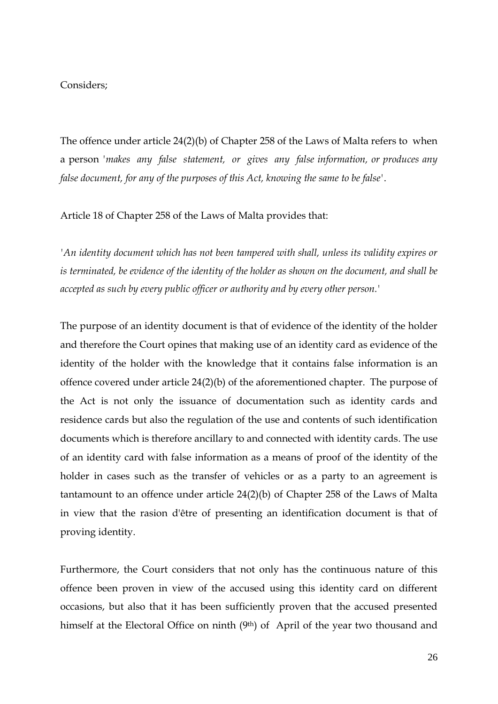#### Considers;

The offence under article 24(2)(b) of Chapter 258 of the Laws of Malta refers to when a person *'makes any false statement, or gives any false information, or produces any false document, for any of the purposes of this Act, knowing the same to be false'*.

Article 18 of Chapter 258 of the Laws of Malta provides that:

*'An identity document which has not been tampered with shall, unless its validity expires or is terminated, be evidence of the identity of the holder as shown on the document, and shall be accepted as such by every public officer or authority and by every other person.'*

The purpose of an identity document is that of evidence of the identity of the holder and therefore the Court opines that making use of an identity card as evidence of the identity of the holder with the knowledge that it contains false information is an offence covered under article 24(2)(b) of the aforementioned chapter. The purpose of the Act is not only the issuance of documentation such as identity cards and residence cards but also the regulation of the use and contents of such identification documents which is therefore ancillary to and connected with identity cards. The use of an identity card with false information as a means of proof of the identity of the holder in cases such as the transfer of vehicles or as a party to an agreement is tantamount to an offence under article 24(2)(b) of Chapter 258 of the Laws of Malta in view that the rasion d'être of presenting an identification document is that of proving identity.

Furthermore, the Court considers that not only has the continuous nature of this offence been proven in view of the accused using this identity card on different occasions, but also that it has been sufficiently proven that the accused presented himself at the Electoral Office on ninth (9<sup>th</sup>) of April of the year two thousand and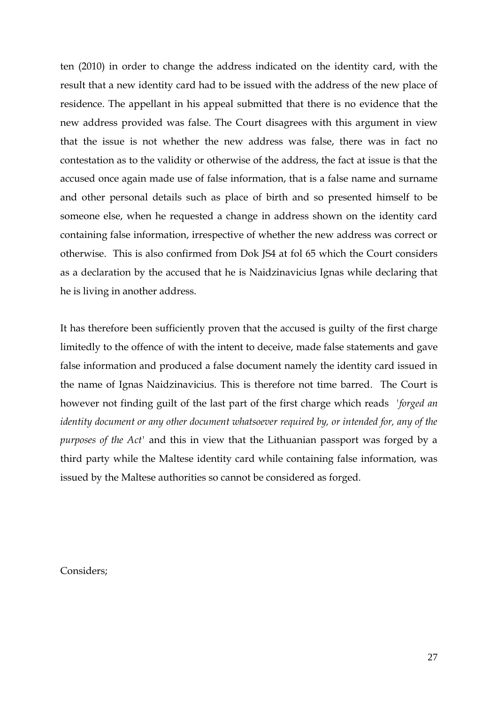ten (2010) in order to change the address indicated on the identity card, with the result that a new identity card had to be issued with the address of the new place of residence. The appellant in his appeal submitted that there is no evidence that the new address provided was false. The Court disagrees with this argument in view that the issue is not whether the new address was false, there was in fact no contestation as to the validity or otherwise of the address, the fact at issue is that the accused once again made use of false information, that is a false name and surname and other personal details such as place of birth and so presented himself to be someone else, when he requested a change in address shown on the identity card containing false information, irrespective of whether the new address was correct or otherwise. This is also confirmed from Dok JS4 at fol 65 which the Court considers as a declaration by the accused that he is Naidzinavicius Ignas while declaring that he is living in another address.

It has therefore been sufficiently proven that the accused is guilty of the first charge limitedly to the offence of with the intent to deceive, made false statements and gave false information and produced a false document namely the identity card issued in the name of Ignas Naidzinavicius. This is therefore not time barred. The Court is however not finding guilt of the last part of the first charge which reads *'forged an identity document or any other document whatsoever required by, or intended for, any of the purposes of the Act'* and this in view that the Lithuanian passport was forged by a third party while the Maltese identity card while containing false information, was issued by the Maltese authorities so cannot be considered as forged.

Considers;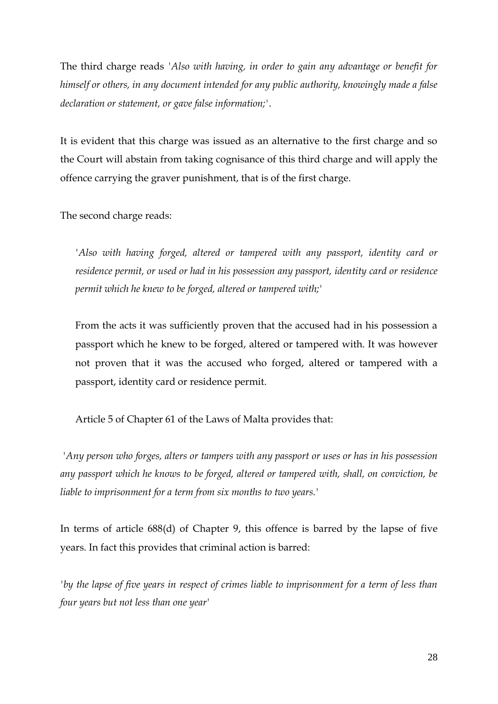The third charge reads *'Also with having, in order to gain any advantage or benefit for himself or others, in any document intended for any public authority, knowingly made a false declaration or statement, or gave false information;'*.

It is evident that this charge was issued as an alternative to the first charge and so the Court will abstain from taking cognisance of this third charge and will apply the offence carrying the graver punishment, that is of the first charge.

The second charge reads:

*'Also with having forged, altered or tampered with any passport, identity card or residence permit, or used or had in his possession any passport, identity card or residence permit which he knew to be forged, altered or tampered with;'*

From the acts it was sufficiently proven that the accused had in his possession a passport which he knew to be forged, altered or tampered with. It was however not proven that it was the accused who forged, altered or tampered with a passport, identity card or residence permit.

Article 5 of Chapter 61 of the Laws of Malta provides that:

*'Any person who forges, alters or tampers with any passport or uses or has in his possession any passport which he knows to be forged, altered or tampered with, shall, on conviction, be liable to imprisonment for a term from six months to two years.'*

In terms of article 688(d) of Chapter 9, this offence is barred by the lapse of five years. In fact this provides that criminal action is barred:

*by the lapse of five years in respect of crimes liable to imprisonment for a term of less than four years but not less than one year'*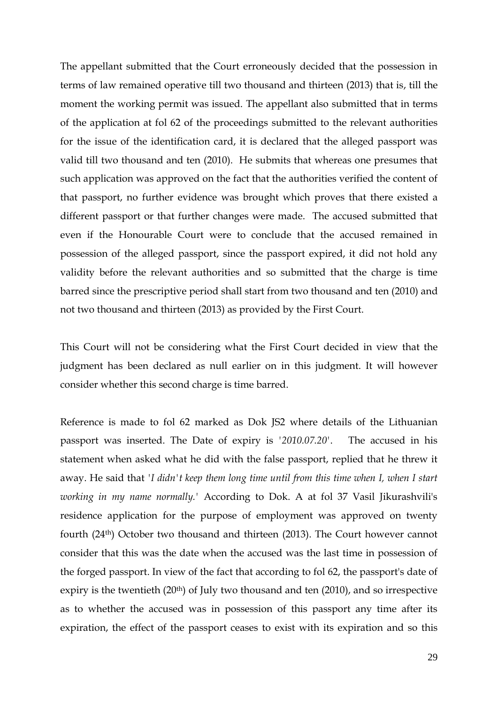The appellant submitted that the Court erroneously decided that the possession in terms of law remained operative till two thousand and thirteen (2013) that is, till the moment the working permit was issued. The appellant also submitted that in terms of the application at fol 62 of the proceedings submitted to the relevant authorities for the issue of the identification card, it is declared that the alleged passport was valid till two thousand and ten (2010). He submits that whereas one presumes that such application was approved on the fact that the authorities verified the content of that passport, no further evidence was brought which proves that there existed a different passport or that further changes were made. The accused submitted that even if the Honourable Court were to conclude that the accused remained in possession of the alleged passport, since the passport expired, it did not hold any validity before the relevant authorities and so submitted that the charge is time barred since the prescriptive period shall start from two thousand and ten (2010) and not two thousand and thirteen (2013) as provided by the First Court.

This Court will not be considering what the First Court decided in view that the judgment has been declared as null earlier on in this judgment. It will however consider whether this second charge is time barred.

Reference is made to fol 62 marked as Dok JS2 where details of the Lithuanian passport was inserted. The Date of expiry is *'2010.07.20'*. The accused in his statement when asked what he did with the false passport, replied that he threw it away. He said that *'I didn't keep them long time until from this time when I, when I start working in my name normally.'* According to Dok. A at fol 37 Vasil Jikurashvili's residence application for the purpose of employment was approved on twenty fourth (24th) October two thousand and thirteen (2013). The Court however cannot consider that this was the date when the accused was the last time in possession of the forged passport. In view of the fact that according to fol 62, the passport's date of expiry is the twentieth (20th) of July two thousand and ten (2010), and so irrespective as to whether the accused was in possession of this passport any time after its expiration, the effect of the passport ceases to exist with its expiration and so this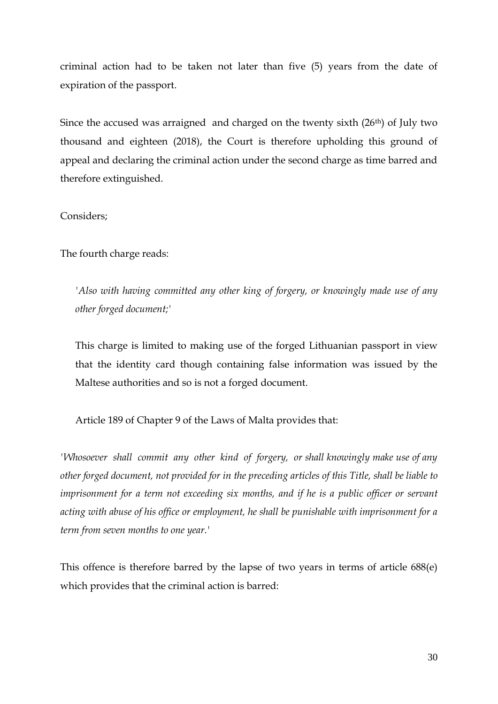criminal action had to be taken not later than five (5) years from the date of expiration of the passport.

Since the accused was arraigned and charged on the twenty sixth (26<sup>th</sup>) of July two thousand and eighteen (2018), the Court is therefore upholding this ground of appeal and declaring the criminal action under the second charge as time barred and therefore extinguished.

Considers;

The fourth charge reads:

*'Also with having committed any other king of forgery, or knowingly made use of any other forged document;'*

This charge is limited to making use of the forged Lithuanian passport in view that the identity card though containing false information was issued by the Maltese authorities and so is not a forged document.

Article 189 of Chapter 9 of the Laws of Malta provides that:

*'Whosoever shall commit any other kind of forgery, or shall knowingly make use of any other forged document, not provided for in the preceding articles of this Title, shall be liable to imprisonment for a term not exceeding six months, and if he is a public officer or servant acting with abuse of his office or employment, he shall be punishable with imprisonment for a term from seven months to one year.'*

This offence is therefore barred by the lapse of two years in terms of article 688(e) which provides that the criminal action is barred: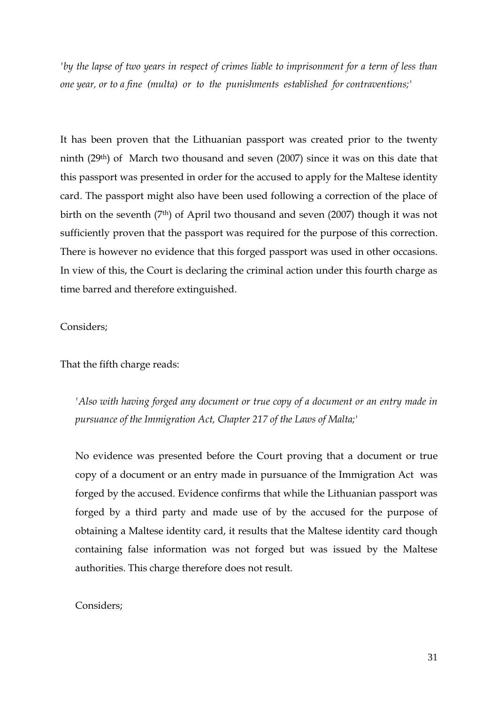*by the lapse of two years in respect of crimes liable to imprisonment for a term of less than one year, or to a fine (multa) or to the punishments established for contraventions;'*

It has been proven that the Lithuanian passport was created prior to the twenty ninth (29th) of March two thousand and seven (2007) since it was on this date that this passport was presented in order for the accused to apply for the Maltese identity card. The passport might also have been used following a correction of the place of birth on the seventh (7<sup>th</sup>) of April two thousand and seven (2007) though it was not sufficiently proven that the passport was required for the purpose of this correction. There is however no evidence that this forged passport was used in other occasions. In view of this, the Court is declaring the criminal action under this fourth charge as time barred and therefore extinguished.

## Considers;

## That the fifth charge reads:

*'Also with having forged any document or true copy of a document or an entry made in pursuance of the Immigration Act, Chapter 217 of the Laws of Malta;'* 

No evidence was presented before the Court proving that a document or true copy of a document or an entry made in pursuance of the Immigration Act was forged by the accused. Evidence confirms that while the Lithuanian passport was forged by a third party and made use of by the accused for the purpose of obtaining a Maltese identity card, it results that the Maltese identity card though containing false information was not forged but was issued by the Maltese authorities. This charge therefore does not result.

## Considers;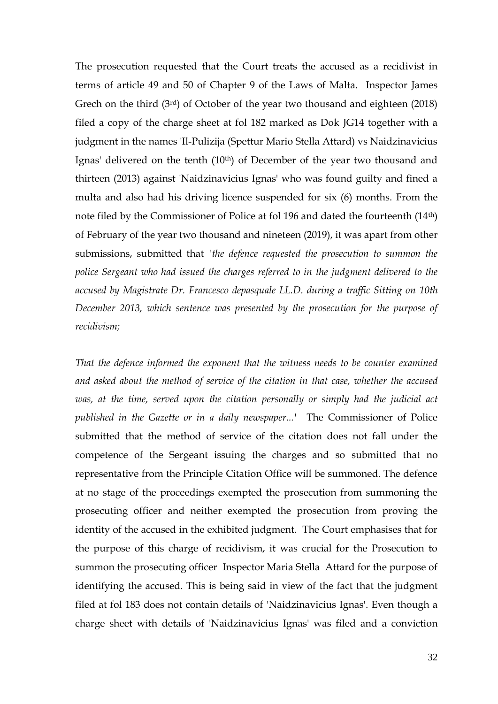The prosecution requested that the Court treats the accused as a recidivist in terms of article 49 and 50 of Chapter 9 of the Laws of Malta. Inspector James Grech on the third (3rd) of October of the year two thousand and eighteen (2018) filed a copy of the charge sheet at fol 182 marked as Dok JG14 together with a judgment in the names 'Il-Pulizija (Spettur Mario Stella Attard) vs Naidzinavicius Ignas' delivered on the tenth (10<sup>th</sup>) of December of the year two thousand and thirteen (2013) against 'Naidzinavicius Ignas' who was found guilty and fined a multa and also had his driving licence suspended for six (6) months. From the note filed by the Commissioner of Police at fol 196 and dated the fourteenth (14th) of February of the year two thousand and nineteen (2019), it was apart from other submissions, submitted that *'the defence requested the prosecution to summon the police Sergeant who had issued the charges referred to in the judgment delivered to the accused by Magistrate Dr. Francesco depasquale LL.D. during a traffic Sitting on 10th December 2013, which sentence was presented by the prosecution for the purpose of recidivism;*

*That the defence informed the exponent that the witness needs to be counter examined and asked about the method of service of the citation in that case, whether the accused was, at the time, served upon the citation personally or simply had the judicial act published in the Gazette or in a daily newspaper...'* The Commissioner of Police submitted that the method of service of the citation does not fall under the competence of the Sergeant issuing the charges and so submitted that no representative from the Principle Citation Office will be summoned. The defence at no stage of the proceedings exempted the prosecution from summoning the prosecuting officer and neither exempted the prosecution from proving the identity of the accused in the exhibited judgment. The Court emphasises that for the purpose of this charge of recidivism, it was crucial for the Prosecution to summon the prosecuting officer Inspector Maria Stella Attard for the purpose of identifying the accused. This is being said in view of the fact that the judgment filed at fol 183 does not contain details of 'Naidzinavicius Ignas'. Even though a charge sheet with details of 'Naidzinavicius Ignas' was filed and a conviction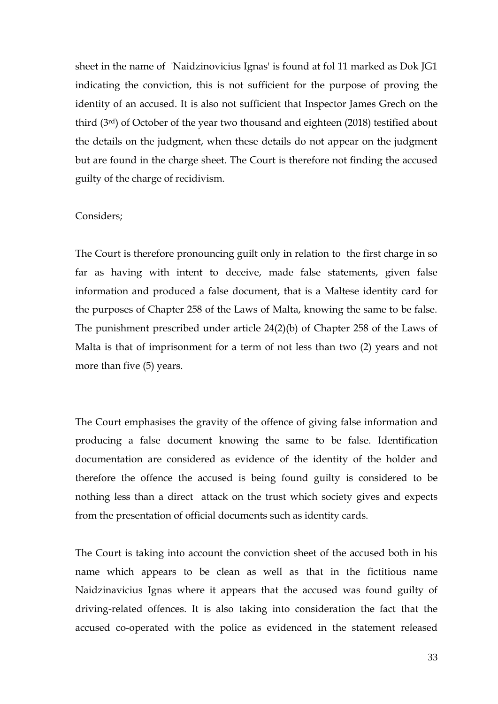sheet in the name of 'Naidzinovicius Ignas' is found at fol 11 marked as Dok JG1 indicating the conviction, this is not sufficient for the purpose of proving the identity of an accused. It is also not sufficient that Inspector James Grech on the third (3rd) of October of the year two thousand and eighteen (2018) testified about the details on the judgment, when these details do not appear on the judgment but are found in the charge sheet. The Court is therefore not finding the accused guilty of the charge of recidivism.

#### Considers;

The Court is therefore pronouncing guilt only in relation to the first charge in so far as having with intent to deceive, made false statements, given false information and produced a false document, that is a Maltese identity card for the purposes of Chapter 258 of the Laws of Malta, knowing the same to be false. The punishment prescribed under article 24(2)(b) of Chapter 258 of the Laws of Malta is that of imprisonment for a term of not less than two (2) years and not more than five (5) years.

The Court emphasises the gravity of the offence of giving false information and producing a false document knowing the same to be false. Identification documentation are considered as evidence of the identity of the holder and therefore the offence the accused is being found guilty is considered to be nothing less than a direct attack on the trust which society gives and expects from the presentation of official documents such as identity cards.

The Court is taking into account the conviction sheet of the accused both in his name which appears to be clean as well as that in the fictitious name Naidzinavicius Ignas where it appears that the accused was found guilty of driving-related offences. It is also taking into consideration the fact that the accused co-operated with the police as evidenced in the statement released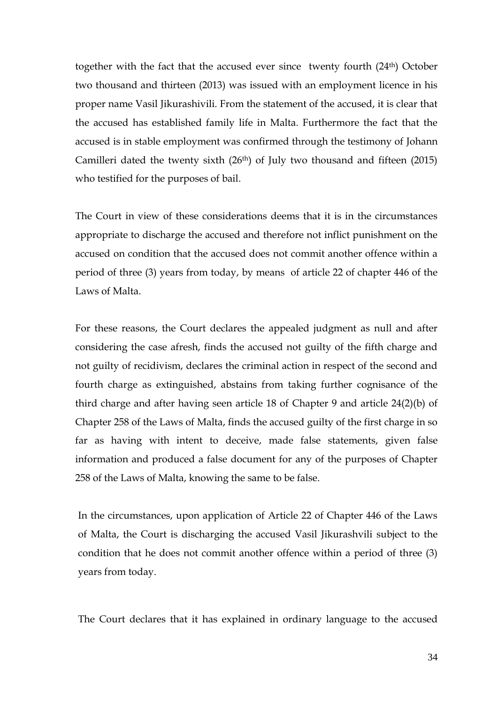together with the fact that the accused ever since twenty fourth (24th) October two thousand and thirteen (2013) was issued with an employment licence in his proper name Vasil Jikurashivili. From the statement of the accused, it is clear that the accused has established family life in Malta. Furthermore the fact that the accused is in stable employment was confirmed through the testimony of Johann Camilleri dated the twenty sixth  $(26<sup>th</sup>)$  of July two thousand and fifteen  $(2015)$ who testified for the purposes of bail.

The Court in view of these considerations deems that it is in the circumstances appropriate to discharge the accused and therefore not inflict punishment on the accused on condition that the accused does not commit another offence within a period of three (3) years from today, by means of article 22 of chapter 446 of the Laws of Malta.

For these reasons, the Court declares the appealed judgment as null and after considering the case afresh, finds the accused not guilty of the fifth charge and not guilty of recidivism, declares the criminal action in respect of the second and fourth charge as extinguished, abstains from taking further cognisance of the third charge and after having seen article 18 of Chapter 9 and article 24(2)(b) of Chapter 258 of the Laws of Malta, finds the accused guilty of the first charge in so far as having with intent to deceive, made false statements, given false information and produced a false document for any of the purposes of Chapter 258 of the Laws of Malta, knowing the same to be false.

In the circumstances, upon application of Article 22 of Chapter 446 of the Laws of Malta, the Court is discharging the accused Vasil Jikurashvili subject to the condition that he does not commit another offence within a period of three (3) years from today.

The Court declares that it has explained in ordinary language to the accused